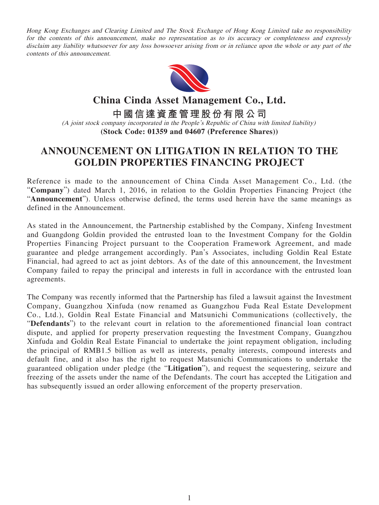Hong Kong Exchanges and Clearing Limited and The Stock Exchange of Hong Kong Limited take no responsibility for the contents of this announcement, make no representation as to its accuracy or completeness and expressly disclaim any liability whatsoever for any loss howsoever arising from or in reliance upon the whole or any part of the contents of this announcement.



**China Cinda Asset Management Co., Ltd. 中國信達資產管理股份有限公司** (A joint stock company incorporated in the People's Republic of China with limited liability) **(Stock Code: 01359 and 04607 (Preference Shares))**

## **ANNOUNCEMENT ON LITIGATION IN RELATION TO THE GOLDIN PROPERTIES FINANCING PROJECT**

Reference is made to the announcement of China Cinda Asset Management Co., Ltd. (the "**Company**") dated March 1, 2016, in relation to the Goldin Properties Financing Project (the "**Announcement**"). Unless otherwise defined, the terms used herein have the same meanings as defined in the Announcement.

As stated in the Announcement, the Partnership established by the Company, Xinfeng Investment and Guangdong Goldin provided the entrusted loan to the Investment Company for the Goldin Properties Financing Project pursuant to the Cooperation Framework Agreement, and made guarantee and pledge arrangement accordingly. Pan's Associates, including Goldin Real Estate Financial, had agreed to act as joint debtors. As of the date of this announcement, the Investment Company failed to repay the principal and interests in full in accordance with the entrusted loan agreements.

The Company was recently informed that the Partnership has filed a lawsuit against the Investment Company, Guangzhou Xinfuda (now renamed as Guangzhou Fuda Real Estate Development Co., Ltd.), Goldin Real Estate Financial and Matsunichi Communications (collectively, the "**Defendants**") to the relevant court in relation to the aforementioned financial loan contract dispute, and applied for property preservation requesting the Investment Company, Guangzhou Xinfuda and Goldin Real Estate Financial to undertake the joint repayment obligation, including the principal of RMB1.5 billion as well as interests, penalty interests, compound interests and default fine, and it also has the right to request Matsunichi Communications to undertake the guaranteed obligation under pledge (the "**Litigation**"), and request the sequestering, seizure and freezing of the assets under the name of the Defendants. The court has accepted the Litigation and has subsequently issued an order allowing enforcement of the property preservation.